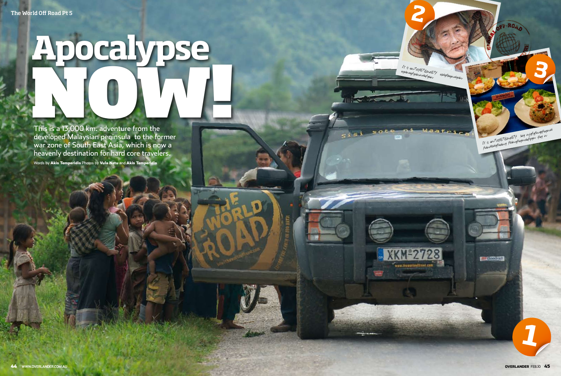# **Apocalypse** NOW!

This is a 13,000 km. adventure from the developed malaysian peninsula to the former war zone of South East Asia, which is now a heavenly destination for hard core travelers. words by Akis Temperidis Photos by Vula Netu and Akis Temperidis



**2**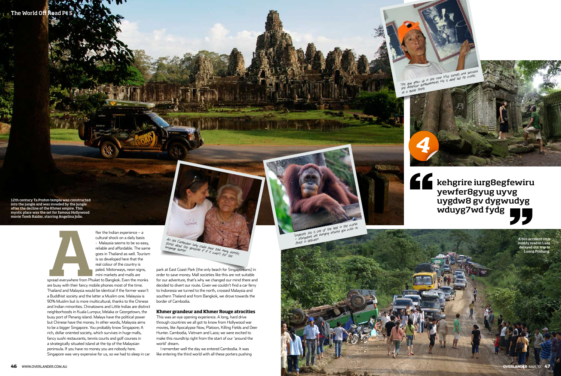fter the Indian experience – a cultural shock on a daily basis - Malaysia seems to be so easy, reliable and affordable. The same goes in Thailand as well. Tourism is so developed here that the real colour of the country is paled. Motorways, neon signs, mini markets and malls are

Spread everywhere from Phu spread everywhere from Phuket to Bangkok. Even the monks are busy with their fancy mobile phones most of the time. Thailand and Malaysia would be identical if the former wasn't a Buddhist society and the latter a Muslim one. Malaysia is 90% Muslim but is more multicultural, thanks to the Chinese and Indian minorities. Chinatowns and Little Indias are distinct neighborhoods in Kuala Lumpur, Melaka or Georgetown, the busy port of Penang island. Malays have the political power but Chinese have the money. In other words, Malaysia aims to be a bigger Singapore. You probably know Singapore; A rich, dollar oriented society, which survives in huge malls, fancy sushi restaurants, tennis courts and golf courses in a strategically situated island at the tip of the Malaysian peninsula. If you have no money you are nobody here. Singapore was very expensive for us, so we had to sleep in car

Singapore zoo is one of the best in the world - orangutans are hanging around you with no fence in between.



The World Off Road Pt 5

park at East Coast Park (the only beach for Singaporeans) in order to save money. Mall societies like this are not suitable for our adventure, that's why we changed our mind there and decided to divert our route. Given we couldn't find a car ferry to Indonesia we turned to the north, crossed Malaysia and southern Thaland and from Bangkok, we drove towards the border of Cambodia.

## **Khmer grandeur and Khmer Rouge atrocities**

This was an eye opening experience. A long, hard drive through countries we all got to know from Hollywood war movies, like Apocalypse Now, Platoon, Killing Fields and Deer Hunter. Cambodia, Vietnam and Laos; we were excited to make this roundtrip right from the start of our 'around the world' dream.

I remember well the day we entered Cambodia. It was like entering the third world with all these porters pushing



An old Cambodian lady could have told many horrific stories about the genocide if if it wasn't for the language barrier.

Frigin

A bus accident on a muddy road in Laos delayed our trip to Luang Prabang.





12th century Ta Prohm temple was constructed into the jungle and was invaded by the jungle after the decline of the Khmer empire. This mystic place was the set for famous Hollywood movie Tomb Raider, starring Angelina Jolie.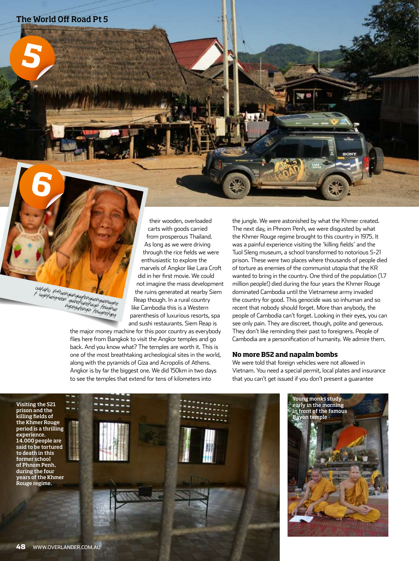**5**

**6**

odfdfio ifn9uehgiuhgiuyfehgiuehguehiughe f iughfueigniebh guihefiuhefuigh feiughue hgoegufehgih feiughue<br>hgoegufehgih feiughefgeg

their wooden, overloaded carts with goods carried from prosperous Thailand. As long as we were driving through the rice fields we were enthusiastic to explore the marvels of Angkor like Lara Croft did in her first movie. We could not imagine the mass development the ruins generated at nearby Siem Reap though. In a rural country like Cambodia this is a Western parenthesis of luxurious resorts, spa and sushi restaurants. Siem Reap is

the major money machine for this poor country as everybody flies here from Bangkok to visit the Angkor temples and go back. And you know what? The temples are worth it. This is one of the most breathtaking archeological sites in the world, along with the pyramids of Giza and Acropolis of Athens. Angkor is by far the biggest one. We did 150km in two days to see the temples that extend for tens of kilometers into

the jungle. We were astonished by what the Khmer created. The next day, in Phnom Penh, we were disgusted by what the Khmer Rouge regime brought to this country in 1975. It was a painful experience visiting the 'killing fields' and the Tuol Sleng museum, a school transformed to notorious S-21 prison. These were two places where thousands of people died of torture as enemies of the communist utopia that the KR wanted to bring in the country. One third of the population (1.7 million people!) died during the four years the Khmer Rouge dominated Cambodia until the Vietnamese army invaded the country for good. This genocide was so inhuman and so recent that nobody should forget. More than anybody, the people of Cambodia can't forget. Looking in their eyes, you can see only pain. They are discreet, though, polite and generous. They don't like reminding their past to foreigners. People of Cambodia are a personification of humanity. We admire them.

#### **No more B52 and napalm bombs**

We were told that foreign vehicles were not allowed in Vietnam. You need a special permit, local plates and insurance that you can't get issued if you don't present a guarantee

Visiting the S21 prison and the killing fields of the Khmer Rouge period is a thrilling experience. 14.000 people are said to be tortured to death in this former school of Phnom Penh, during the four years of the Khmer Rouge regime.



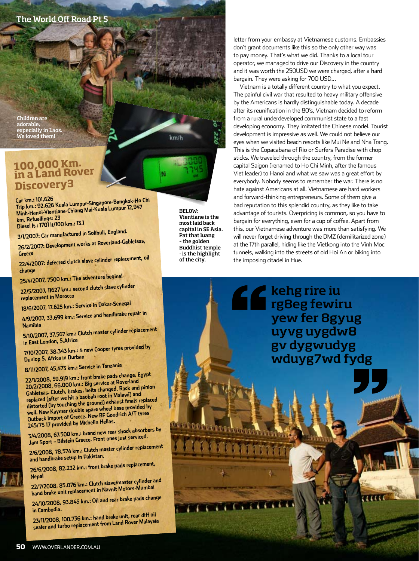## The World Off Road Pt 5

Children are adorable, especially in Laos. We loved them!

# **100,000 Km. in a Land Rover Discovery3**

**Car km.: 101,626 Trip km.: 92,626 Kuala Lumpur-Singapore-Bangkok-Ho Chi Minh-Hanoi-Vientiane-Chiang Mai-Kuala Lumpur 12,947 km. Refuellings: 23 Diesel lt.: 1701 lt/100 km.: 13.1**

**3/1/2007: Car manufactured in Solihull, England.**

**26/2/2007: Development works at Roverland-Gabletsas, Greece**

**22/4/2007: defected clutch slave cylinder replacement, oil change**

**25/4/2007, 7500 km.: The adventure begins!**

**22/5/2007, 11627 km.: second clutch slave cylinder replacement in Morocco** 

**18/6/2007, 17.625 km.: Service in Dakar-Senegal**

**4/9/2007, 33.699 km.: Service and handbrake repair in** 

Namibia<br>5/10/2007, 37.567 km.: Clutch master cylinder replacement

in East London, S.Africa<br>7/10/2007, 38.343 km.: 4 new Cooper tyres provided by<br>Dunlop S. Africa in Durban<br>8/11/2007, 45.473 km.: Service in Tanzania

22/1/2008, 59.919 km.: front brake pads change, Egypt<br>20/2/2008, 66.000 km.: Big service at Roverland<br>Gabletsas. Clutch, brakes, belts changed. Rack and pinion<br>replaced (after we hit a baobab root in Malawi) and<br>distorted

and handbrake setup in Pakistan.<br>26/6/2008, 82.232 km.: front brake pads replacement,

Nepal<br>22/7/2008, 85.076 km.: Clutch slave/master cylinder and

**22/7/2008, 85.076 km.: Clutch slave/master cylinder and hand brake unit replacement in Navnit Motors-Mumbai 24/10/2008, 93.845 km.: Oil and rear brake pads change** 

**in Cambodia. 23/11/2008, 100.736 km.: hand brake unit, rear diff oil sealer and turbo replacement from Land Rover Malaysia**

BELOW: Vientiane is the most laid back capital in SE Asia. Pat that luang – the golden Buddhist temple - is the highlight of the city.

 $km/h$ 

letter from your embassy at Vietnamese customs. Embassies don't grant documents like this so the only other way was to pay money. That's what we did. Thanks to a local tour operator, we managed to drive our Discovery in the country and it was worth the 250USD we were charged, after a hard bargain. They were asking for 700 USD…

Vietnam is a totally different country to what you expect. The painful civil war that resulted to heavy military offensive by the Americans is hardly distinguishable today. A decade after its reunification in the 80's, Vietnam decided to reform from a rural underdeveloped communist state to a fast developing economy. They imitated the Chinese model. Tourist development is impressive as well. We could not believe our eyes when we visited beach resorts like Mui Ne and Nha Trang. This is the Copacabana of Rio or Surfers Paradise with chop sticks. We traveled through the country, from the former capital Saigon (renamed to Ho Chi Minh, after the famous Viet leader) to Hanoi and what we saw was a great effort by everybody. Nobody seems to remember the war. There is no hate against Americans at all. Vietnamese are hard workers and forward-thinking entrepreneurs. Some of them give a bad reputation to this splendid country, as they like to take advantage of tourists. Overpricing is common, so you have to bargain for everything, even for a cup of coffee. Apart from this, our Vietnamese adventure was more than satisfying. We will never forget driving through the DMZ (demilitarized zone) at the 17th parallel, hiding like the Vietkong into the Vinh Moc tunnels, walking into the streets of old Hoi An or biking into the imposing citadel in Hue.

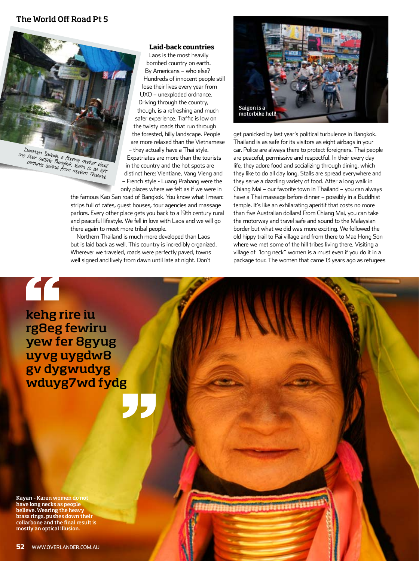# The World Off Road Pt 5



Damnoen Saduak, a floating market about one hour outside Bangkok, seems to be left centuries behind from modern Thailand.

### **Laid-back countries**

Laos is the most heavily bombed country on earth. By Americans – who else? Hundreds of innocent people still lose their lives every year from UXO – unexploded ordnance. Driving through the country, though, is a refreshing and much safer experience. Traffic is low on the twisty roads that run through the forested, hilly landscape. People are more relaxed than the Vietnamese – they actually have a Thai style. Expatriates are more than the tourists in the country and the hot spots are distinct here; Vientiane, Vang Vieng and – French style - Luang Prabang were the only places where we felt as if we were in

the famous Kao San road of Bangkok. You know what I mean: strips full of cafes, guest houses, tour agencies and massage parlors. Every other place gets you back to a 19th century rural and peaceful lifestyle. We fell in love with Laos and we will go there again to meet more tribal people.

Northern Thailand is much more developed than Laos but is laid back as well. This country is incredibly organized. Wherever we traveled, roads were perfectly paved, towns well signed and lively from dawn until late at night. Don't



get panicked by last year's political turbulence in Bangkok. Thailand is as safe for its visitors as eight airbags in your car. Police are always there to protect foreigners. Thai people are peaceful, permissive and respectful. In their every day life, they adore food and socializing through dining, which they like to do all day long. Stalls are spread everywhere and they serve a dazzling variety of food. After a long walk in Chiang Mai – our favorite town in Thailand – you can always have a Thai massage before dinner – possibly in a Buddhist temple. It's like an exhilarating aperitif that costs no more than five Australian dollars! From Chiang Mai, you can take the motorway and travel safe and sound to the Malaysian border but what we did was more exciting. We followed the old hippy trail to Pai village and from there to Mae Hong Son where we met some of the hill tribes living there. Visiting a village of 'long neck" women is a must even if you do it in a package tour. The women that came 13 years ago as refugees

kehg rire iu rg8eg fewiru yew fer 8gyug uyvg uygdw8 gv dygwudyg wduyg7wd fydg

"

Kayan – Karen women do not have long necks as people believe. Wearing the heavy brass rings, pushes down their collarbone and the final result is mostly an optical illusion.